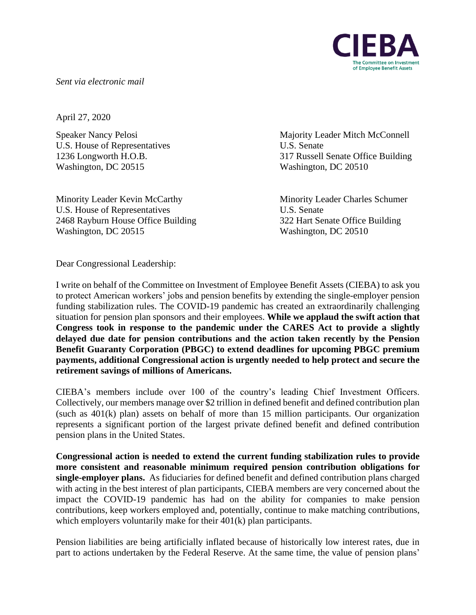**Committee on Investment** of Employee Benefit Assets

*Sent via electronic mail* 

April 27, 2020

U.S. House of Representatives U.S. Senate Washington, DC 20515 Washington, DC 20510

Minority Leader Kevin McCarthy Minority Leader Charles Schumer U.S. House of Representatives U.S. Senate 2468 Rayburn House Office Building 322 Hart Senate Office Building Washington, DC 20515 Washington, DC 20510

Speaker Nancy Pelosi Majority Leader Mitch McConnell 1236 Longworth H.O.B. 317 Russell Senate Office Building

Dear Congressional Leadership:

I write on behalf of the Committee on Investment of Employee Benefit Assets (CIEBA) to ask you to protect American workers' jobs and pension benefits by extending the single-employer pension funding stabilization rules. The COVID-19 pandemic has created an extraordinarily challenging situation for pension plan sponsors and their employees. **While we applaud the swift action that Congress took in response to the pandemic under the CARES Act to provide a slightly delayed due date for pension contributions and the action taken recently by the Pension Benefit Guaranty Corporation (PBGC) to extend deadlines for upcoming PBGC premium payments, additional Congressional action is urgently needed to help protect and secure the retirement savings of millions of Americans.**

CIEBA's members include over 100 of the country's leading Chief Investment Officers. Collectively, our members manage over \$2 trillion in defined benefit and defined contribution plan (such as 401(k) plan) assets on behalf of more than 15 million participants. Our organization represents a significant portion of the largest private defined benefit and defined contribution pension plans in the United States.

**Congressional action is needed to extend the current funding stabilization rules to provide more consistent and reasonable minimum required pension contribution obligations for single-employer plans.** As fiduciaries for defined benefit and defined contribution plans charged with acting in the best interest of plan participants, CIEBA members are very concerned about the impact the COVID-19 pandemic has had on the ability for companies to make pension contributions, keep workers employed and, potentially, continue to make matching contributions, which employers voluntarily make for their  $401(k)$  plan participants.

Pension liabilities are being artificially inflated because of historically low interest rates, due in part to actions undertaken by the Federal Reserve. At the same time, the value of pension plans'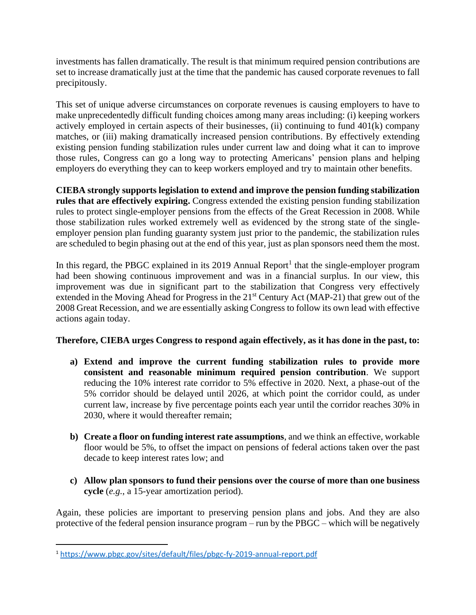investments has fallen dramatically. The result is that minimum required pension contributions are set to increase dramatically just at the time that the pandemic has caused corporate revenues to fall precipitously.

This set of unique adverse circumstances on corporate revenues is causing employers to have to make unprecedentedly difficult funding choices among many areas including: (i) keeping workers actively employed in certain aspects of their businesses, (ii) continuing to fund  $401(k)$  company matches, or (iii) making dramatically increased pension contributions. By effectively extending existing pension funding stabilization rules under current law and doing what it can to improve those rules, Congress can go a long way to protecting Americans' pension plans and helping employers do everything they can to keep workers employed and try to maintain other benefits.

**CIEBA strongly supports legislation to extend and improve the pension funding stabilization rules that are effectively expiring.** Congress extended the existing pension funding stabilization rules to protect single-employer pensions from the effects of the Great Recession in 2008. While those stabilization rules worked extremely well as evidenced by the strong state of the singleemployer pension plan funding guaranty system just prior to the pandemic, the stabilization rules are scheduled to begin phasing out at the end of this year, just as plan sponsors need them the most.

In this regard, the PBGC explained in its 2019 Annual Report<sup>1</sup> that the single-employer program had been showing continuous improvement and was in a financial surplus. In our view, this improvement was due in significant part to the stabilization that Congress very effectively extended in the Moving Ahead for Progress in the 21<sup>st</sup> Century Act (MAP-21) that grew out of the 2008 Great Recession, and we are essentially asking Congress to follow its own lead with effective actions again today.

## **Therefore, CIEBA urges Congress to respond again effectively, as it has done in the past, to:**

- **a) Extend and improve the current funding stabilization rules to provide more consistent and reasonable minimum required pension contribution**. We support reducing the 10% interest rate corridor to 5% effective in 2020. Next, a phase-out of the 5% corridor should be delayed until 2026, at which point the corridor could, as under current law, increase by five percentage points each year until the corridor reaches 30% in 2030, where it would thereafter remain;
- **b) Create a floor on funding interest rate assumptions**, and we think an effective, workable floor would be 5%, to offset the impact on pensions of federal actions taken over the past decade to keep interest rates low; and
- **c) Allow plan sponsors to fund their pensions over the course of more than one business cycle** (*e.g.*, a 15-year amortization period).

Again, these policies are important to preserving pension plans and jobs. And they are also protective of the federal pension insurance program – run by the PBGC – which will be negatively

<sup>1</sup> <https://www.pbgc.gov/sites/default/files/pbgc-fy-2019-annual-report.pdf>